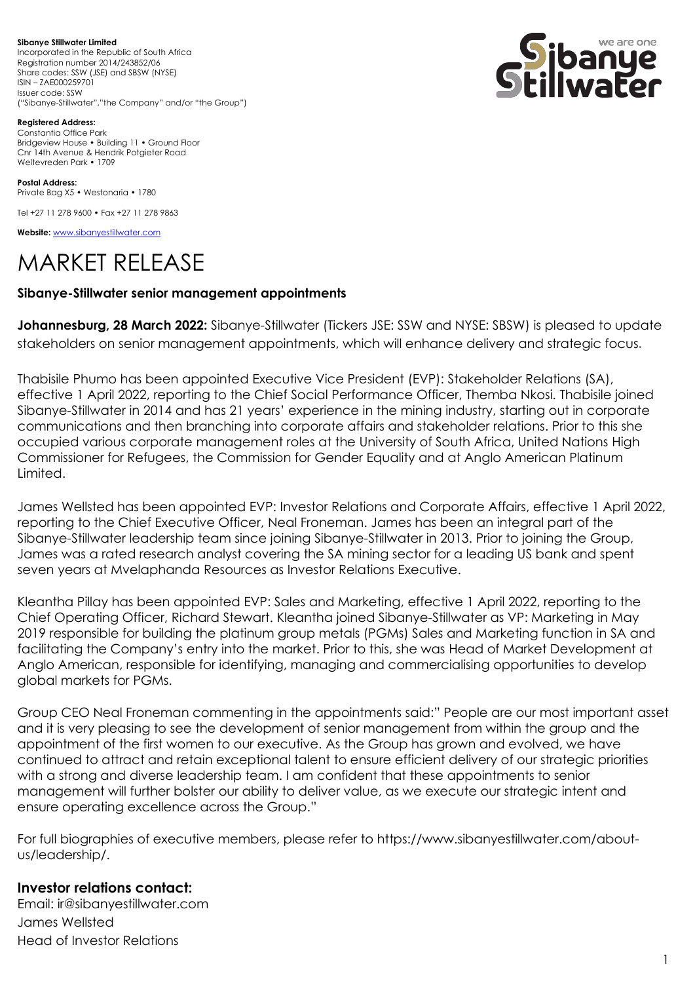**Sibanye Stillwater Limited**  Incorporated in the Republic of South Africa Registration number 2014/243852/06 Share codes: SSW (JSE) and SBSW (NYSE) ISIN – ZAE000259701 Issuer code: SSW ("Sibanye-Stillwater","the Company" and/or "the Group")



**Registered Address:** Constantia Office Park Bridgeview House • Building 11 • Ground Floor Cnr 14th Avenue & Hendrik Potgieter Road Weltevreden Park • 1709

**Postal Address:** Private Bag X5 • Westonaria • 1780

Tel +27 11 278 9600 • Fax +27 11 278 9863

**Website:** [www.sibanyestillwater.com](http://www.sibanyestillwater.com/)

## MARKET RELEASE

## **Sibanye-Stillwater senior management appointments**

**Johannesburg, 28 March 2022:** Sibanye-Stillwater (Tickers JSE: SSW and NYSE: SBSW) is pleased to update stakeholders on senior management appointments, which will enhance delivery and strategic focus.

Thabisile Phumo has been appointed Executive Vice President (EVP): Stakeholder Relations (SA), effective 1 April 2022, reporting to the Chief Social Performance Officer, Themba Nkosi. Thabisile joined Sibanye-Stillwater in 2014 and has 21 years' experience in the mining industry, starting out in corporate communications and then branching into corporate affairs and stakeholder relations. Prior to this she occupied various corporate management roles at the University of South Africa, United Nations High Commissioner for Refugees, the Commission for Gender Equality and at Anglo American Platinum Limited.

James Wellsted has been appointed EVP: Investor Relations and Corporate Affairs, effective 1 April 2022, reporting to the Chief Executive Officer, Neal Froneman. James has been an integral part of the Sibanye-Stillwater leadership team since joining Sibanye-Stillwater in 2013. Prior to joining the Group, James was a rated research analyst covering the SA mining sector for a leading US bank and spent seven years at Mvelaphanda Resources as Investor Relations Executive.

Kleantha Pillay has been appointed EVP: Sales and Marketing, effective 1 April 2022, reporting to the Chief Operating Officer, Richard Stewart. Kleantha joined Sibanye-Stillwater as VP: Marketing in May 2019 responsible for building the platinum group metals (PGMs) Sales and Marketing function in SA and facilitating the Company's entry into the market. Prior to this, she was Head of Market Development at Anglo American, responsible for identifying, managing and commercialising opportunities to develop global markets for PGMs.

Group CEO Neal Froneman commenting in the appointments said:" People are our most important asset and it is very pleasing to see the development of senior management from within the group and the appointment of the first women to our executive. As the Group has grown and evolved, we have continued to attract and retain exceptional talent to ensure efficient delivery of our strategic priorities with a strong and diverse leadership team. I am confident that these appointments to senior management will further bolster our ability to deliver value, as we execute our strategic intent and ensure operating excellence across the Group."

For full biographies of executive members, please refer to https://www.sibanyestillwater.com/aboutus/leadership/.

## **Investor relations contact:**

Email: ir@sibanyestillwater.com James Wellsted Head of Investor Relations